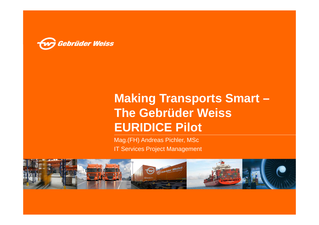

# **Making Transports Smart –The Gebrüder Weiss EURIDICE Pilot**

Mag.(FH) Andreas Pichler, MScIT Services Project Management

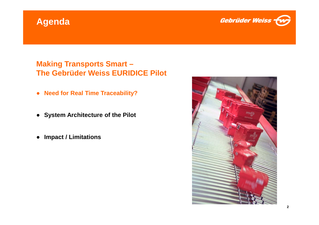# **Agenda**



#### **Making Transports Smart –The Gebrüder Weiss EURIDICE Pilot**

- **Need for Real Time Traceability?**
- **System Architecture of the Pilot**
- $\bullet$ **Impact / Limitations**

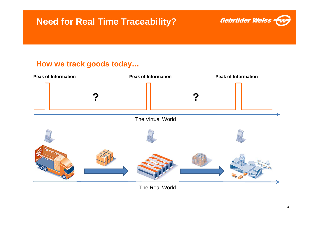

### **How we track goods today…**



The Real World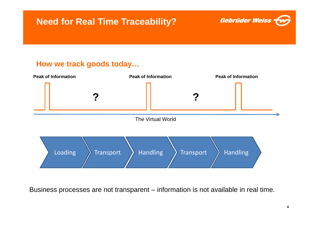

#### **How we track goods today…**



Business processes are not transparent – information is not available in real time.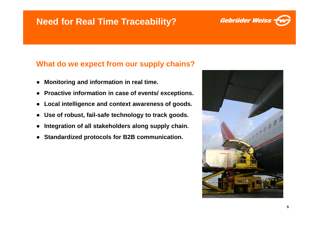# **Need for Real Time Traceability?**



#### **What do we expect from our supply chains?**

- ●**Monitoring and information in real time.**
- ●**Proactive information in case of events/ exceptions.**
- ●**Local intelligence and context awareness of goods.**
- ●**Use of robust, fail-safe technology to track goods.**
- ●**Integration of all stakeholders along supply chain.**
- ●**Standardized protocols for B2B communication.**

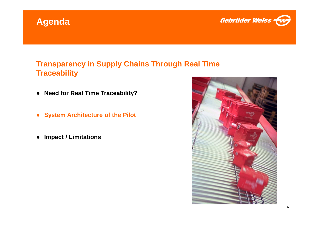



#### **Transparency in Supply Chains Through Real Time Traceability**

- **Need for Real Time Traceability?**
- $\bullet$ **System Architecture of the Pilot**
- $\bullet$ **Impact / Limitations**

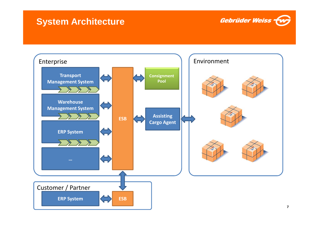# **System Architecture**



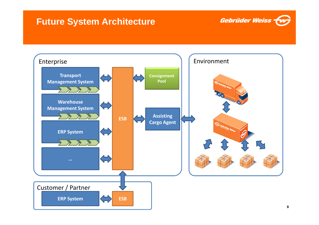# **Future System Architecture**



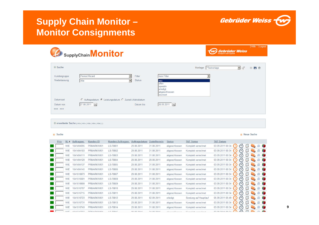# **Supply Chain Monitor –Monitor Consignments**



Hilfe Logout

|                               | SupplyChain <b>Monitor</b>                             |                                                     |                                                                                   |                       | <b>Gebrüder Weiss</b><br>Transport und Looistik |  |     |
|-------------------------------|--------------------------------------------------------|-----------------------------------------------------|-----------------------------------------------------------------------------------|-----------------------|-------------------------------------------------|--|-----|
| $\circledcirc$ Suche          |                                                        |                                                     |                                                                                   | Vorlage  *Testvorlage | $\blacksquare$                                  |  | ⊕目量 |
| Kundengruppe<br>Niederlassung | Pernod Ricard<br>Alle                                  | Filter<br><b>Status</b><br>$\overline{\phantom{0}}$ | kein Filter<br>neu<br>offen<br>operativ<br>erledigt<br>abgeschlossen<br>storniert |                       |                                                 |  |     |
| Datumsart                     | C Auftragsdatum G Leistungsdatum C Zustell-/Abholdatum |                                                     |                                                                                   |                       |                                                 |  |     |
| Datum von<br>$<<$ >>>         | 27.08.2011                                             | Datum bis                                           | 26.09.2011                                                                        |                       |                                                 |  |     |

A erweiterte Suche | Alle | Alle | Alle | Alle | Alle | |

#### 回 Suche

**D** Neue Suche

| Prio | <b>NLA</b> | Auftragsnr. | Kunden-ID    | Kunden-Auftragsnr. | Auftragsdatum | <b>Zustelltermin</b> | <b>Status</b> | <b>T&amp;T Status</b>        | <b>T&amp;T Datum</b>                            |                 |        |                 |   |
|------|------------|-------------|--------------|--------------------|---------------|----------------------|---------------|------------------------------|-------------------------------------------------|-----------------|--------|-----------------|---|
|      | WIE        | 1041494095  | PRMARKWI01   | LS-78801           | 29.08.2011    | 31.08.2011           | abgeschlossen | Komplett verrechnet          | 03.09.2011 00:34<br>$(\vee)$<br>6 <sup>13</sup> | 临               |        | <b>D 听</b>      |   |
|      | WIE        | 1041494103  | PRMARKWI01   | LS-78802           | 29.08.2011    | 31.08.2011           | abgeschlossen | Komplett verrechnet          | 03.09.2011 00:34<br>$(\vee)$                    | <b>Table</b>    |        | 0 『             |   |
|      | <b>WIE</b> | 1041494111  | PRMARKWI01   | LS-78803           | 29.08.2011    | 31.08.2011           | abgeschlossen | Komplett verrechnet          | 03.09.2011 00:34<br>$(\vee)$                    | Юã              |        | <b>D 『</b>      |   |
|      | WIE        | 1041494129  | PRMARKWI01   | LS-78804           | 29.08.2011    | 29.08.2011           | abgeschlossen | Komplett verrechnet          | 03.09.2011 00:34<br>$(\vee)$<br>69              | 临海              |        | 0 『             |   |
|      | WIE        | 1041494137  | PRMARKWI01   | LS-78805           | 29.08.2011    | 31.08.2011           | abgeschlossen | Komplett verrechnet          | 03.09.2011 00:34<br>$(\vee)$<br>E <sup>U</sup>  | 临               |        | 0 听             |   |
|      | <b>WIE</b> | 1041494145  | PRMARKW101   | LS-78806           | 29.08.2011    | 31.08.2011           | abgeschlossen | Komplett verrechnet          | 03.09.2011 00:34<br>$(\vee)$<br>E LE            | <b>Taris</b>    |        | $O$ if          |   |
|      | <b>WIE</b> | 1041516673  | PRMARKWI01   | LS-78807           | 29.08.2011    | 31.08.2011           | abgeschlossen | Komplett verrechnet          | 03.09.2011 00:34<br>(4)                         | <b>I design</b> |        | <b>D 了</b>      |   |
|      | WIE        | 1041516681  | PRMARKWI01   | LS-78808           | 29.08.2011    | 31.08.2011           | abgeschlossen | Komplett verrechnet          | 03.09.2011 00:34<br>$(\vee)$                    | 临               |        | <b>D 行</b>      |   |
|      | WIE        | 1041516699  | PRMARKWI01   | LS-78809           | 29.08.2011    | 31.08.2011           | abgeschlossen | Komplett verrechnet          | 03.09.2011 00:34<br>$(\vee)$<br>E <sup>U</sup>  | 鬧               | $\sim$ | 0 听             |   |
|      | WIE        | 1041516707  | PRMARKWI01   | LS-78810           | 29.08.2011    | 31.08.2011           | abgeschlossen | Komplett verrechnet          | 03.09.2011 00:34<br>$(\vee)$<br>60              | 隨               |        | 0 if            |   |
|      | WIE        | 1041516715  | PRMARKW101   | LS-78811           | 29.08.2011    | 31.08.2011           | abgeschlossen | Komplett verrechnet          | 03.09.2011 00:34<br>$(\vee)$<br>E <sub>3</sub>  | m               |        | 0 听             |   |
|      | <b>WIE</b> | 1041516723  | PRMARKW101   | LS-78812           | 29.08.2011    | 02.09.2011           | erledigt      | Sendung auf Hauptlauf        | 05.09.2011 05:49<br>$(\vee)$<br>6.13            | 临               |        | 0 听             |   |
|      | WIE        | 1041516731  | PRMARKWI01   | LS-78813           | 29.08.2011    | 31.08.2011           | abgeschlossen | Komplett verrechnet          | 03.09.2011 00:34<br>$(\vee)$                    | <b>IMP</b>      |        | $\Omega$        | m |
|      | WIE        | 1041516749  | PRMARKW101   | LS-78814           | 29.08.2011    | 31.08.2011           | abgeschlossen | Komplett verrechnet          | 03.09.2011 00:34<br>$(\vee)$                    |                 |        | $\mathbf{G}$    | 们 |
|      | 10H        | ADAAFACTEC  | DOMADI/14804 | 1070045            | 00.00.0044    | 34.00.0044           | .             | $1/$ cased state corresponds | $\sqrt{2}$<br>02.00.2014.00.24                  | 图               |        | $\sim$ $\alpha$ |   |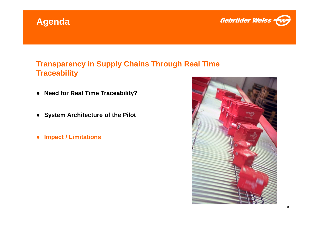



#### **Transparency in Supply Chains Through Real Time Traceability**

- **Need for Real Time Traceability?**
- **System Architecture of the Pilot**
- $\bullet$ **Impact / Limitations**

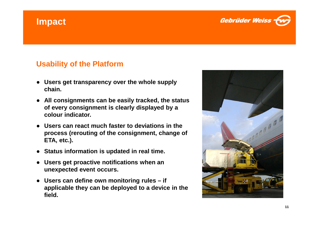# **Impact**



### **Usability of the Platform**

- ● **Users get transparency over the whole supply chain.**
- **All consignments can be easily tracked, the status of every consignment is clearly displayed by a colour indicator.**
- ● **Users can react much faster to deviations in the process (rerouting of the consignment, change of ETA, etc.).**
- ●**Status information is updated in real time.**
- ● **Users get proactive notifications when an unexpected event occurs.**
- **Users can define own monitoring rules – if applicable they can be deployed to a device in the field.**

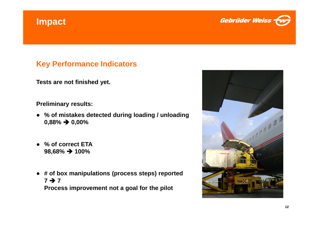# **Impact**



#### **Key Performance Indicators**

**Tests are not finished yet.**

**Preliminary results:**

- **% of mistakes detected during loading / unloading0,88% 0,00%**
- ● **% of correct ETA98,68% 100%**
- **# of box manipulations (process steps) reported** $7 \rightarrow 7$ **<sup>7</sup> Process improvement not a goal for the pilot**

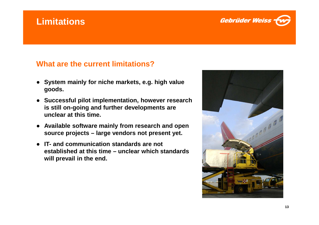# **Limitations**



#### **What are the current limitations?**

- ● **System mainly for niche markets, e.g. high value goods.**
- **Successful pilot implementation, however research is still on-going and further developments are unclear at this time.**
- ● **Available software mainly from research and open source projects – large vendors not present yet.**
- ● **IT- and communication standards are not established at this time – unclear which standards will prevail in the end.**